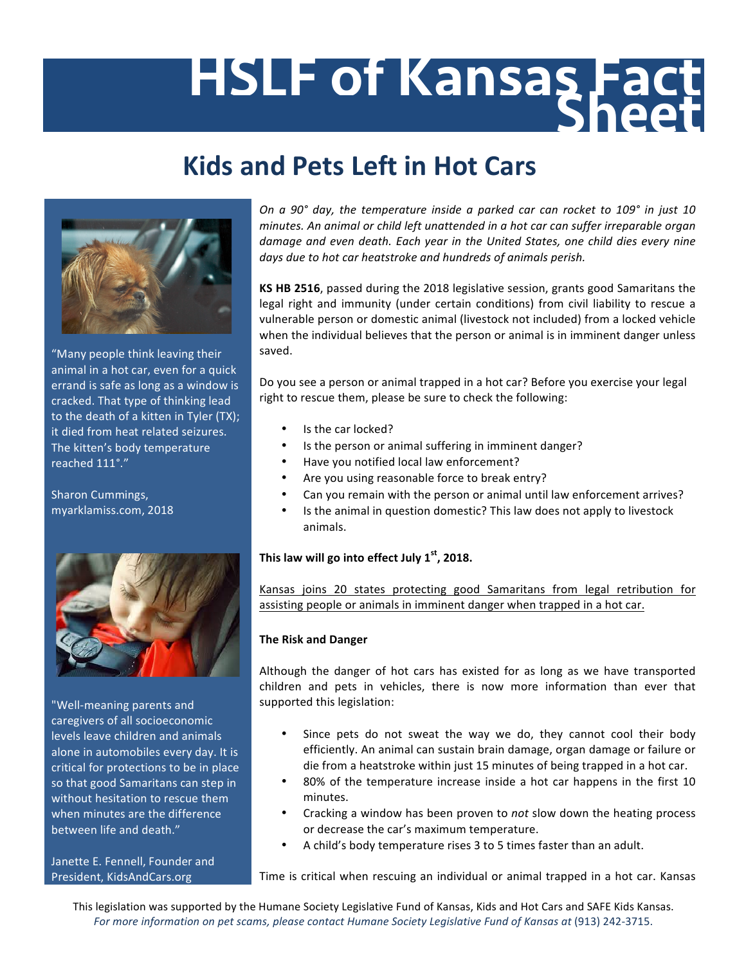## HSLF of Kansas Fact

## **Kids and Pets Left in Hot Cars**



"Many people think leaving their animal in a hot car, even for a quick errand is safe as long as a window is cracked. That type of thinking lead to the death of a kitten in Tyler (TX); it died from heat related seizures. The kitten's body temperature reached 111°."

Sharon Cummings, myarklamiss.com, 2018 



"Well-meaning parents and caregivers of all socioeconomic levels leave children and animals alone in automobiles every day. It is critical for protections to be in place so that good Samaritans can step in without hesitation to rescue them when minutes are the difference between life and death."

Janette E. Fennell, Founder and President, KidsAndCars.org

*On a 90° day, the temperature inside a parked car can rocket to 109° in just 10 minutes.* An animal or child left unattended in a hot car can suffer irreparable organ damage and even death. Each year in the United States, one child dies every nine days due to hot car heatstroke and hundreds of animals perish.

**KS HB 2516**, passed during the 2018 legislative session, grants good Samaritans the legal right and immunity (under certain conditions) from civil liability to rescue a vulnerable person or domestic animal (livestock not included) from a locked vehicle when the individual believes that the person or animal is in imminent danger unless saved. 

Do you see a person or animal trapped in a hot car? Before you exercise your legal right to rescue them, please be sure to check the following:

- Is the car locked?
- Is the person or animal suffering in imminent danger?
- Have you notified local law enforcement?
- Are you using reasonable force to break entry?
- Can you remain with the person or animal until law enforcement arrives?
- Is the animal in question domestic? This law does not apply to livestock animals.

## This law will go into effect July 1<sup>st</sup>, 2018.

Kansas joins 20 states protecting good Samaritans from legal retribution for assisting people or animals in imminent danger when trapped in a hot car.

## **The Risk and Danger**

Although the danger of hot cars has existed for as long as we have transported children and pets in vehicles, there is now more information than ever that supported this legislation:

- Since pets do not sweat the way we do, they cannot cool their body efficiently. An animal can sustain brain damage, organ damage or failure or die from a heatstroke within just 15 minutes of being trapped in a hot car.
- 80% of the temperature increase inside a hot car happens in the first 10 minutes.
- Cracking a window has been proven to *not* slow down the heating process or decrease the car's maximum temperature.
- A child's body temperature rises 3 to 5 times faster than an adult.

Time is critical when rescuing an individual or animal trapped in a hot car. Kansas

This legislation was supported by the Humane Society Legislative Fund of Kansas, Kids and Hot Cars and SAFE Kids Kansas. For more information on pet scams, please contact Humane Society Legislative Fund of Kansas at (913) 242-3715.